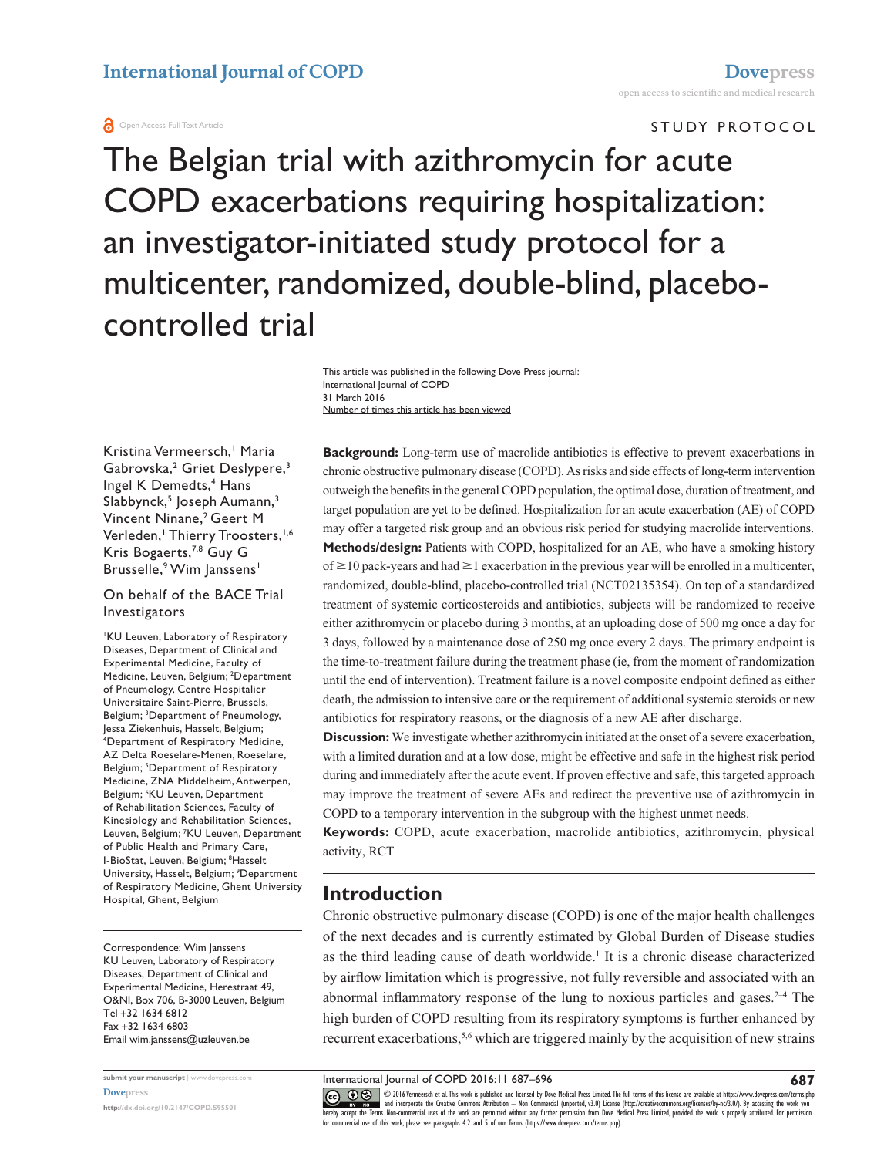#### STUDY PROTOCOL

The Belgian trial with azithromycin for acute COPD exacerbations requiring hospitalization: an investigator-initiated study protocol for a multicenter, randomized, double-blind, placebocontrolled trial

> Number of times this article has been viewed This article was published in the following Dove Press journal: International Journal of COPD 31 March 2016

Kristina Vermeersch, <sup>I</sup> Maria Gabrovska,<sup>2</sup> Griet Deslypere,<sup>3</sup> Ingel K Demedts,4 Hans Slabbynck,5 Joseph Aumann,3 Vincent Ninane,<sup>2</sup> Geert M Verleden,<sup>1</sup> Thierry Troosters,<sup>1,6</sup> Kris Bogaerts,7,8 Guy G Brusselle,<sup>9</sup> Wim Janssens<sup>1</sup>

#### On behalf of the BACE Trial Investigators

1 KU Leuven, Laboratory of Respiratory Diseases, Department of Clinical and Experimental Medicine, Faculty of Medicine, Leuven, Belgium; <sup>2</sup>Department of Pneumology, Centre Hospitalier Universitaire Saint-Pierre, Brussels, Belgium; 3 Department of Pneumology, Jessa Ziekenhuis, Hasselt, Belgium; 4 Department of Respiratory Medicine, AZ Delta Roeselare-Menen, Roeselare, Belgium; <sup>5</sup>Department of Respiratory Medicine, ZNA Middelheim, Antwerpen, Belgium; 6 KU Leuven, Department of Rehabilitation Sciences, Faculty of Kinesiology and Rehabilitation Sciences, Leuven, Belgium; 7 KU Leuven, Department of Public Health and Primary Care, I-BioStat, Leuven, Belgium; 8 Hasselt University, Hasselt, Belgium; <sup>9</sup>Department of Respiratory Medicine, Ghent University Hospital, Ghent, Belgium

Correspondence: Wim Janssens KU Leuven, Laboratory of Respiratory Diseases, Department of Clinical and Experimental Medicine, Herestraat 49, O&NI, Box 706, B-3000 Leuven, Belgium Tel +32 1634 6812 Fax +32 1634 6803 Email [wim.janssens@uzleuven.be](mailto:wim.janssens@uzleuven.be)

**submit your manuscript** | <www.dovepress.com> **[Dovepress](www.dovepress.com)**

**<http://dx.doi.org/10.2147/COPD.S95501>**

**Background:** Long-term use of macrolide antibiotics is effective to prevent exacerbations in chronic obstructive pulmonary disease (COPD). As risks and side effects of long-term intervention outweigh the benefits in the general COPD population, the optimal dose, duration of treatment, and target population are yet to be defined. Hospitalization for an acute exacerbation (AE) of COPD may offer a targeted risk group and an obvious risk period for studying macrolide interventions. **Methods/design:** Patients with COPD, hospitalized for an AE, who have a smoking history of  $\geq$  10 pack-years and had  $\geq$  1 exacerbation in the previous year will be enrolled in a multicenter, randomized, double-blind, placebo-controlled trial (NCT02135354). On top of a standardized treatment of systemic corticosteroids and antibiotics, subjects will be randomized to receive either azithromycin or placebo during 3 months, at an uploading dose of 500 mg once a day for 3 days, followed by a maintenance dose of 250 mg once every 2 days. The primary endpoint is the time-to-treatment failure during the treatment phase (ie, from the moment of randomization until the end of intervention). Treatment failure is a novel composite endpoint defined as either death, the admission to intensive care or the requirement of additional systemic steroids or new

**Discussion:** We investigate whether azithromycin initiated at the onset of a severe exacerbation, with a limited duration and at a low dose, might be effective and safe in the highest risk period during and immediately after the acute event. If proven effective and safe, this targeted approach may improve the treatment of severe AEs and redirect the preventive use of azithromycin in COPD to a temporary intervention in the subgroup with the highest unmet needs.

antibiotics for respiratory reasons, or the diagnosis of a new AE after discharge.

**Keywords:** COPD, acute exacerbation, macrolide antibiotics, azithromycin, physical activity, RCT

#### **Introduction**

Chronic obstructive pulmonary disease (COPD) is one of the major health challenges of the next decades and is currently estimated by Global Burden of Disease studies as the third leading cause of death worldwide.<sup>1</sup> It is a chronic disease characterized by airflow limitation which is progressive, not fully reversible and associated with an abnormal inflammatory response of the lung to noxious particles and gases.<sup>2-4</sup> The high burden of COPD resulting from its respiratory symptoms is further enhanced by recurrent exacerbations,<sup>5,6</sup> which are triggered mainly by the acquisition of new strains

International Journal of COPD 2016:11 687–696

CCC 1 © 2016 Vermeersch et al. This work is published and licensed by Dove Medical Press Limited. The full terms of this license are available at <https://www.dovepress.com/terms.php><br>[hereby accept the Terms](http://www.dovepress.com/permissions.php). Non-commercial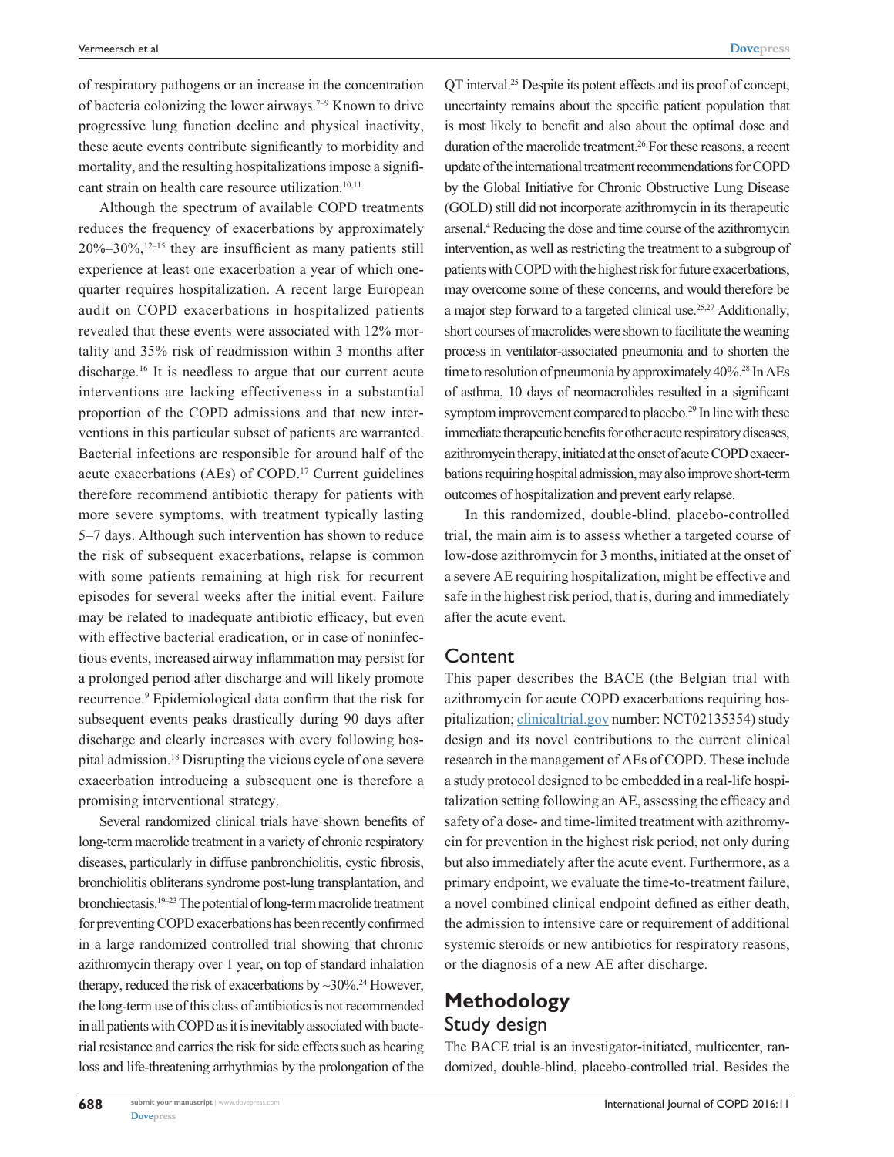**[Dovepress](www.dovepress.com)**

of respiratory pathogens or an increase in the concentration of bacteria colonizing the lower airways.<sup> $7-9$ </sup> Known to drive progressive lung function decline and physical inactivity, these acute events contribute significantly to morbidity and mortality, and the resulting hospitalizations impose a significant strain on health care resource utilization.<sup>10,11</sup>

Although the spectrum of available COPD treatments reduces the frequency of exacerbations by approximately  $20\% - 30\%$ ,<sup>12–15</sup> they are insufficient as many patients still experience at least one exacerbation a year of which onequarter requires hospitalization. A recent large European audit on COPD exacerbations in hospitalized patients revealed that these events were associated with 12% mortality and 35% risk of readmission within 3 months after discharge.16 It is needless to argue that our current acute interventions are lacking effectiveness in a substantial proportion of the COPD admissions and that new interventions in this particular subset of patients are warranted. Bacterial infections are responsible for around half of the acute exacerbations (AEs) of COPD.17 Current guidelines therefore recommend antibiotic therapy for patients with more severe symptoms, with treatment typically lasting 5–7 days. Although such intervention has shown to reduce the risk of subsequent exacerbations, relapse is common with some patients remaining at high risk for recurrent episodes for several weeks after the initial event. Failure may be related to inadequate antibiotic efficacy, but even with effective bacterial eradication, or in case of noninfectious events, increased airway inflammation may persist for a prolonged period after discharge and will likely promote recurrence.<sup>9</sup> Epidemiological data confirm that the risk for subsequent events peaks drastically during 90 days after discharge and clearly increases with every following hospital admission.18 Disrupting the vicious cycle of one severe exacerbation introducing a subsequent one is therefore a promising interventional strategy.

Several randomized clinical trials have shown benefits of long-term macrolide treatment in a variety of chronic respiratory diseases, particularly in diffuse panbronchiolitis, cystic fibrosis, bronchiolitis obliterans syndrome post-lung transplantation, and bronchiectasis.19–23 The potential of long-term macrolide treatment for preventing COPD exacerbations has been recently confirmed in a large randomized controlled trial showing that chronic azithromycin therapy over 1 year, on top of standard inhalation therapy, reduced the risk of exacerbations by ~30%.<sup>24</sup> However, the long-term use of this class of antibiotics is not recommended in all patients with COPD as it is inevitably associated with bacterial resistance and carries the risk for side effects such as hearing loss and life-threatening arrhythmias by the prolongation of the QT interval.25 Despite its potent effects and its proof of concept, uncertainty remains about the specific patient population that is most likely to benefit and also about the optimal dose and duration of the macrolide treatment.<sup>26</sup> For these reasons, a recent update of the international treatment recommendations for COPD by the Global Initiative for Chronic Obstructive Lung Disease (GOLD) still did not incorporate azithromycin in its therapeutic arsenal.4 Reducing the dose and time course of the azithromycin intervention, as well as restricting the treatment to a subgroup of patients with COPD with the highest risk for future exacerbations, may overcome some of these concerns, and would therefore be a major step forward to a targeted clinical use.25,27 Additionally, short courses of macrolides were shown to facilitate the weaning process in ventilator-associated pneumonia and to shorten the time to resolution of pneumonia by approximately 40%.<sup>28</sup> In AEs of asthma, 10 days of neomacrolides resulted in a significant symptom improvement compared to placebo.<sup>29</sup> In line with these immediate therapeutic benefits for other acute respiratory diseases, azithromycin therapy, initiated at the onset of acute COPD exacerbations requiring hospital admission, may also improve short-term outcomes of hospitalization and prevent early relapse.

In this randomized, double-blind, placebo-controlled trial, the main aim is to assess whether a targeted course of low-dose azithromycin for 3 months, initiated at the onset of a severe AE requiring hospitalization, might be effective and safe in the highest risk period, that is, during and immediately after the acute event.

#### Content

This paper describes the BACE (the Belgian trial with azithromycin for acute COPD exacerbations requiring hospitalization; *clinicaltrial.gov* number: NCT02135354) study design and its novel contributions to the current clinical research in the management of AEs of COPD. These include a study protocol designed to be embedded in a real-life hospitalization setting following an AE, assessing the efficacy and safety of a dose- and time-limited treatment with azithromycin for prevention in the highest risk period, not only during but also immediately after the acute event. Furthermore, as a primary endpoint, we evaluate the time-to-treatment failure, a novel combined clinical endpoint defined as either death, the admission to intensive care or requirement of additional systemic steroids or new antibiotics for respiratory reasons, or the diagnosis of a new AE after discharge.

## **Methodology** Study design

The BACE trial is an investigator-initiated, multicenter, randomized, double-blind, placebo-controlled trial. Besides the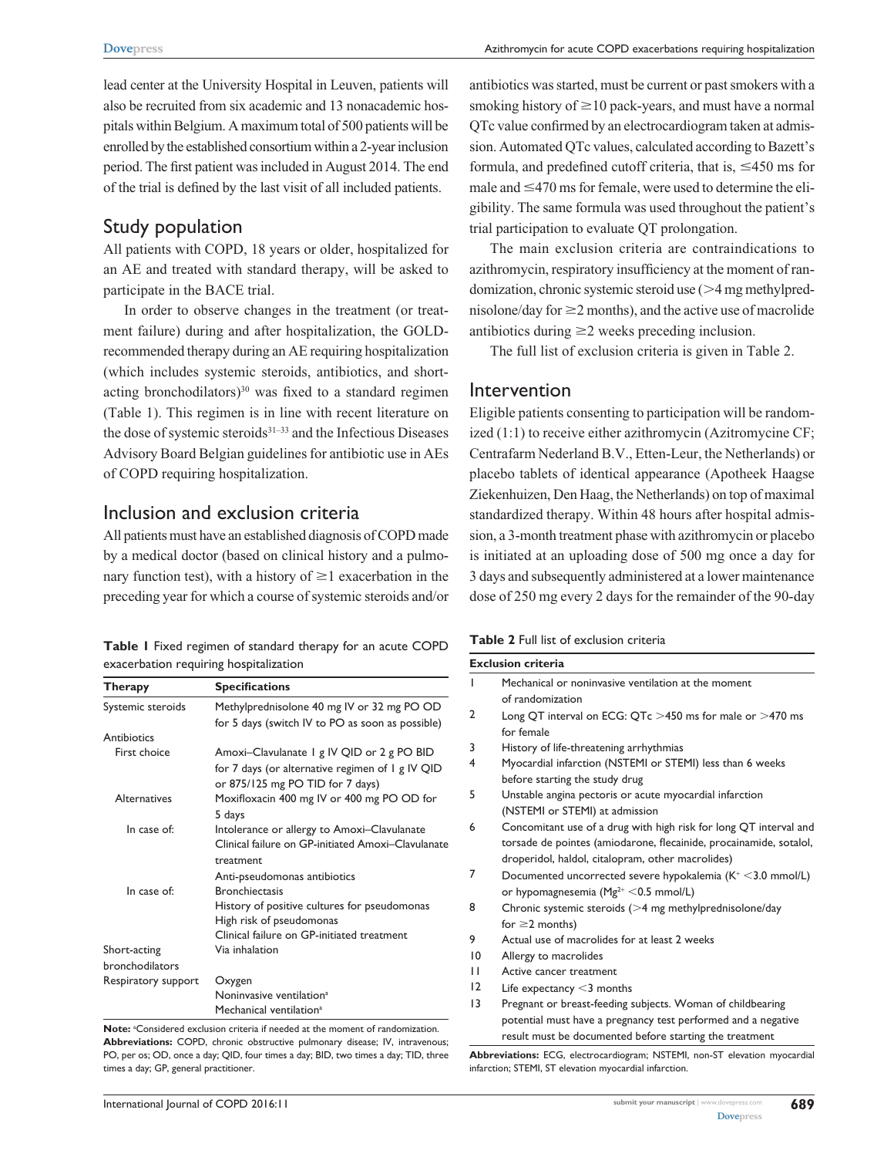lead center at the University Hospital in Leuven, patients will also be recruited from six academic and 13 nonacademic hospitals within Belgium. A maximum total of 500 patients will be enrolled by the established consortium within a 2-year inclusion period. The first patient was included in August 2014. The end of the trial is defined by the last visit of all included patients.

## Study population

All patients with COPD, 18 years or older, hospitalized for an AE and treated with standard therapy, will be asked to participate in the BACE trial.

In order to observe changes in the treatment (or treatment failure) during and after hospitalization, the GOLDrecommended therapy during an AE requiring hospitalization (which includes systemic steroids, antibiotics, and shortacting bronchodilators) $30$  was fixed to a standard regimen (Table 1). This regimen is in line with recent literature on the dose of systemic steroids<sup>31-33</sup> and the Infectious Diseases Advisory Board Belgian guidelines for antibiotic use in AEs of COPD requiring hospitalization.

## Inclusion and exclusion criteria

All patients must have an established diagnosis of COPD made by a medical doctor (based on clinical history and a pulmonary function test), with a history of  $\geq 1$  exacerbation in the preceding year for which a course of systemic steroids and/or

| <b>Table I</b> Fixed regimen of standard therapy for an acute COPD |  |  |  |
|--------------------------------------------------------------------|--|--|--|
| exacerbation requiring hospitalization                             |  |  |  |

| Therapy             | <b>Specifications</b>                              |
|---------------------|----------------------------------------------------|
| Systemic steroids   | Methylprednisolone 40 mg IV or 32 mg PO OD         |
|                     | for 5 days (switch IV to PO as soon as possible)   |
| Antibiotics         |                                                    |
| First choice        | Amoxi-Clavulanate 1 g IV QID or 2 g PO BID         |
|                     | for 7 days (or alternative regimen of 1 g IV QID   |
|                     | or 875/125 mg PO TID for 7 days)                   |
| <b>Alternatives</b> | Moxifloxacin 400 mg IV or 400 mg PO OD for         |
|                     | 5 days                                             |
| In case of:         | Intolerance or allergy to Amoxi-Clavulanate        |
|                     | Clinical failure on GP-initiated Amoxi-Clavulanate |
|                     | treatment                                          |
|                     | Anti-pseudomonas antibiotics                       |
| In case of:         | <b>Bronchiectasis</b>                              |
|                     | History of positive cultures for pseudomonas       |
|                     | High risk of pseudomonas                           |
|                     | Clinical failure on GP-initiated treatment         |
| Short-acting        | Via inhalation                                     |
| bronchodilators     |                                                    |
| Respiratory support | Oxygen                                             |
|                     | Noninvasive ventilation <sup>a</sup>               |
|                     | Mechanical ventilation <sup>a</sup>                |

Note: <sup>a</sup>Considered exclusion criteria if needed at the moment of randomization. **Abbreviations:** COPD, chronic obstructive pulmonary disease; IV, intravenous; PO, per os; OD, once a day; QID, four times a day; BID, two times a day; TID, three times a day; GP, general practitioner.

antibiotics was started, must be current or past smokers with a smoking history of  $\geq$ 10 pack-years, and must have a normal QTc value confirmed by an electrocardiogram taken at admission. Automated QTc values, calculated according to Bazett's formula, and predefined cutoff criteria, that is,  $\leq 450$  ms for male and  $\leq$ 470 ms for female, were used to determine the eligibility. The same formula was used throughout the patient's trial participation to evaluate QT prolongation.

The main exclusion criteria are contraindications to azithromycin, respiratory insufficiency at the moment of randomization, chronic systemic steroid use  $($  >4 mg methylprednisolone/day for  $\geq$  months), and the active use of macrolide antibiotics during  $\geq$  weeks preceding inclusion.

The full list of exclusion criteria is given in Table 2.

#### Intervention

Eligible patients consenting to participation will be randomized (1:1) to receive either azithromycin (Azitromycine CF; Centrafarm Nederland B.V., Etten-Leur, the Netherlands) or placebo tablets of identical appearance (Apotheek Haagse Ziekenhuizen, Den Haag, the Netherlands) on top of maximal standardized therapy. Within 48 hours after hospital admission, a 3-month treatment phase with azithromycin or placebo is initiated at an uploading dose of 500 mg once a day for 3 days and subsequently administered at a lower maintenance dose of 250 mg every 2 days for the remainder of the 90-day

#### **Table 2** Full list of exclusion criteria

|    | <b>Exclusion criteria</b>                                                |
|----|--------------------------------------------------------------------------|
| ı  | Mechanical or noninvasive ventilation at the moment                      |
|    | of randomization                                                         |
| 2  | Long QT interval on ECG: QTc $>450$ ms for male or $>470$ ms             |
|    | for female                                                               |
| 3  | History of life-threatening arrhythmias                                  |
| 4  | Myocardial infarction (NSTEMI or STEMI) less than 6 weeks                |
|    | before starting the study drug                                           |
| 5  | Unstable angina pectoris or acute myocardial infarction                  |
|    | (NSTEMI or STEMI) at admission                                           |
| 6  | Concomitant use of a drug with high risk for long QT interval and        |
|    | torsade de pointes (amiodarone, flecainide, procainamide, sotalol,       |
|    | droperidol, haldol, citalopram, other macrolides)                        |
| 7  | Documented uncorrected severe hypokalemia $(K^+ < 3.0 \text{ mmol/L})$   |
|    | or hypomagnesemia ( $Mg^{2+}$ <0.5 mmol/L)                               |
| 8  | Chronic systemic steroids $(>4$ mg methylprednisolone/day                |
|    | for $\geq$ 2 months)                                                     |
| 9  | Actual use of macrolides for at least 2 weeks                            |
| 10 | Allergy to macrolides                                                    |
| П  | Active cancer treatment                                                  |
| 12 | Life expectancy $<$ 3 months                                             |
| 13 | Pregnant or breast-feeding subjects. Woman of childbearing               |
|    | potential must have a pregnancy test performed and a negative            |
|    | result must be documented before starting the treatment                  |
|    | Abbreviations: ECG electrocardiogram: NSTEML non ST elevation myocardial |

**Abbreviations:** ECG, electrocardiogram; NSTEMI, non-ST elevation myocardial infarction; STEMI, ST elevation myocardial infarction.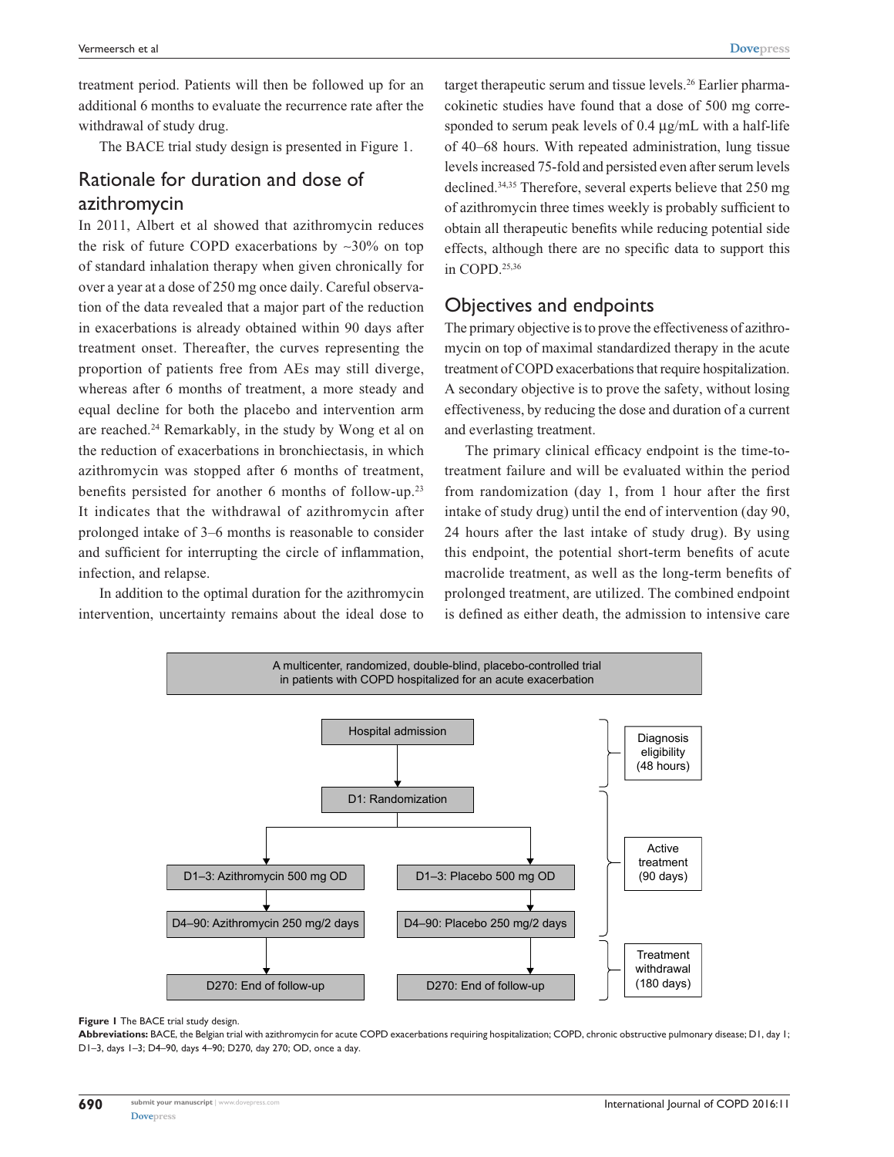treatment period. Patients will then be followed up for an additional 6 months to evaluate the recurrence rate after the withdrawal of study drug.

The BACE trial study design is presented in Figure 1.

# Rationale for duration and dose of azithromycin

In 2011, Albert et al showed that azithromycin reduces the risk of future COPD exacerbations by ∼30% on top of standard inhalation therapy when given chronically for over a year at a dose of 250 mg once daily. Careful observation of the data revealed that a major part of the reduction in exacerbations is already obtained within 90 days after treatment onset. Thereafter, the curves representing the proportion of patients free from AEs may still diverge, whereas after 6 months of treatment, a more steady and equal decline for both the placebo and intervention arm are reached.24 Remarkably, in the study by Wong et al on the reduction of exacerbations in bronchiectasis, in which azithromycin was stopped after 6 months of treatment, benefits persisted for another 6 months of follow-up.23 It indicates that the withdrawal of azithromycin after prolonged intake of 3–6 months is reasonable to consider and sufficient for interrupting the circle of inflammation, infection, and relapse.

In addition to the optimal duration for the azithromycin intervention, uncertainty remains about the ideal dose to target therapeutic serum and tissue levels.<sup>26</sup> Earlier pharmacokinetic studies have found that a dose of 500 mg corresponded to serum peak levels of 0.4  $\mu$ g/mL with a half-life of 40–68 hours. With repeated administration, lung tissue levels increased 75-fold and persisted even after serum levels declined.34,35 Therefore, several experts believe that 250 mg of azithromycin three times weekly is probably sufficient to obtain all therapeutic benefits while reducing potential side effects, although there are no specific data to support this in COPD.25,36

## Objectives and endpoints

The primary objective is to prove the effectiveness of azithromycin on top of maximal standardized therapy in the acute treatment of COPD exacerbations that require hospitalization. A secondary objective is to prove the safety, without losing effectiveness, by reducing the dose and duration of a current and everlasting treatment.

The primary clinical efficacy endpoint is the time-totreatment failure and will be evaluated within the period from randomization (day 1, from 1 hour after the first intake of study drug) until the end of intervention (day 90, 24 hours after the last intake of study drug). By using this endpoint, the potential short-term benefits of acute macrolide treatment, as well as the long-term benefits of prolonged treatment, are utilized. The combined endpoint is defined as either death, the admission to intensive care



#### **Figure 1** The BACE trial study design.

**Abbreviations:** BACE, the Belgian trial with azithromycin for acute COPD exacerbations requiring hospitalization; COPD, chronic obstructive pulmonary disease; D1, day 1; D1–3, days 1–3; D4–90, days 4–90; D270, day 270; OD, once a day.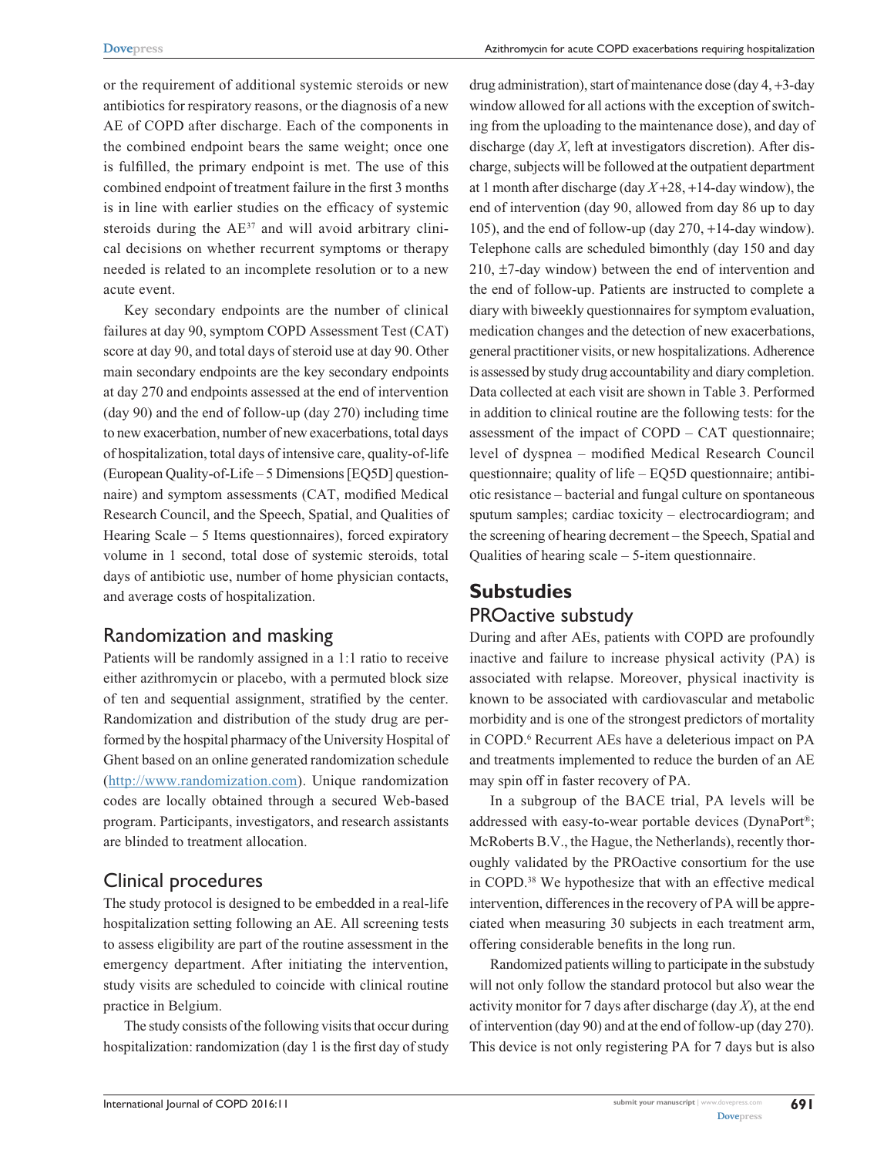or the requirement of additional systemic steroids or new antibiotics for respiratory reasons, or the diagnosis of a new AE of COPD after discharge. Each of the components in the combined endpoint bears the same weight; once one is fulfilled, the primary endpoint is met. The use of this combined endpoint of treatment failure in the first 3 months is in line with earlier studies on the efficacy of systemic steroids during the  $AE^{37}$  and will avoid arbitrary clinical decisions on whether recurrent symptoms or therapy needed is related to an incomplete resolution or to a new acute event.

Key secondary endpoints are the number of clinical failures at day 90, symptom COPD Assessment Test (CAT) score at day 90, and total days of steroid use at day 90. Other main secondary endpoints are the key secondary endpoints at day 270 and endpoints assessed at the end of intervention (day 90) and the end of follow-up (day 270) including time to new exacerbation, number of new exacerbations, total days of hospitalization, total days of intensive care, quality-of-life (European Quality-of-Life – 5 Dimensions [EQ5D] questionnaire) and symptom assessments (CAT, modified Medical Research Council, and the Speech, Spatial, and Qualities of Hearing Scale – 5 Items questionnaires), forced expiratory volume in 1 second, total dose of systemic steroids, total days of antibiotic use, number of home physician contacts, and average costs of hospitalization.

# Randomization and masking

Patients will be randomly assigned in a 1:1 ratio to receive either azithromycin or placebo, with a permuted block size of ten and sequential assignment, stratified by the center. Randomization and distribution of the study drug are performed by the hospital pharmacy of the University Hospital of Ghent based on an online generated randomization schedule [\(http://www.randomization.com\)](http://www.randomization.com). Unique randomization codes are locally obtained through a secured Web-based program. Participants, investigators, and research assistants are blinded to treatment allocation.

# Clinical procedures

The study protocol is designed to be embedded in a real-life hospitalization setting following an AE. All screening tests to assess eligibility are part of the routine assessment in the emergency department. After initiating the intervention, study visits are scheduled to coincide with clinical routine practice in Belgium.

The study consists of the following visits that occur during hospitalization: randomization (day 1 is the first day of study drug administration), start of maintenance dose (day 4, +3-day window allowed for all actions with the exception of switching from the uploading to the maintenance dose), and day of discharge (day *X*, left at investigators discretion). After discharge, subjects will be followed at the outpatient department at 1 month after discharge (day *X* +28, +14-day window), the end of intervention (day 90, allowed from day 86 up to day 105), and the end of follow-up (day 270, +14-day window). Telephone calls are scheduled bimonthly (day 150 and day 210, ±7-day window) between the end of intervention and the end of follow-up. Patients are instructed to complete a diary with biweekly questionnaires for symptom evaluation, medication changes and the detection of new exacerbations, general practitioner visits, or new hospitalizations. Adherence is assessed by study drug accountability and diary completion. Data collected at each visit are shown in Table 3. Performed in addition to clinical routine are the following tests: for the assessment of the impact of COPD – CAT questionnaire; level of dyspnea – modified Medical Research Council questionnaire; quality of life – EQ5D questionnaire; antibiotic resistance – bacterial and fungal culture on spontaneous sputum samples; cardiac toxicity – electrocardiogram; and the screening of hearing decrement – the Speech, Spatial and Qualities of hearing scale – 5-item questionnaire.

# **Substudies** PROactive substudy

During and after AEs, patients with COPD are profoundly inactive and failure to increase physical activity (PA) is associated with relapse. Moreover, physical inactivity is known to be associated with cardiovascular and metabolic morbidity and is one of the strongest predictors of mortality in COPD.<sup>6</sup> Recurrent AEs have a deleterious impact on PA and treatments implemented to reduce the burden of an AE may spin off in faster recovery of PA.

In a subgroup of the BACE trial, PA levels will be addressed with easy-to-wear portable devices (DynaPort®; McRoberts B.V., the Hague, the Netherlands), recently thoroughly validated by the PROactive consortium for the use in COPD.38 We hypothesize that with an effective medical intervention, differences in the recovery of PA will be appreciated when measuring 30 subjects in each treatment arm, offering considerable benefits in the long run.

Randomized patients willing to participate in the substudy will not only follow the standard protocol but also wear the activity monitor for 7 days after discharge (day *X*), at the end of intervention (day 90) and at the end of follow-up (day 270). This device is not only registering PA for 7 days but is also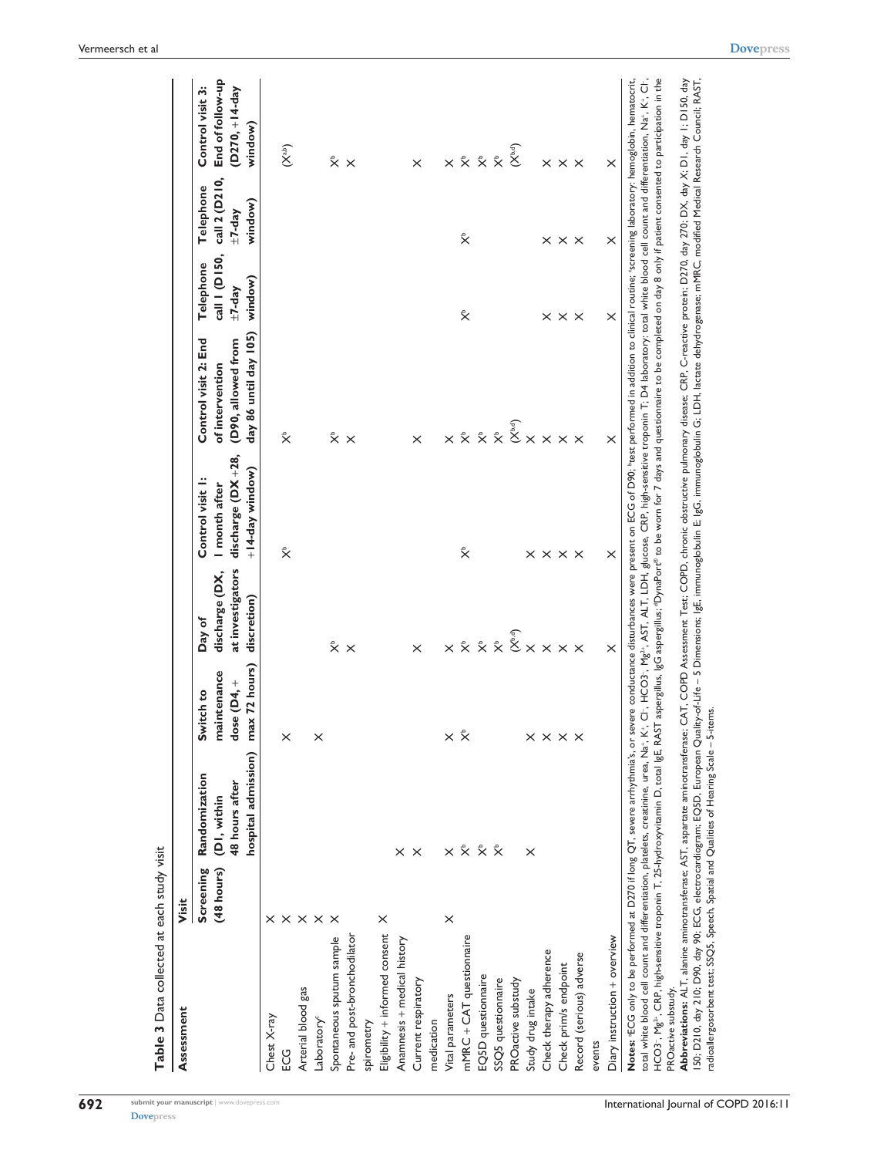| Assessment                                                                                                                                                                                                                                                                                                                                                                                                                                                                                                                                                                                                                                                                                                                                                                                                            | Visit                      |                                       |                                               |                                               |                                          |                                                                                                                                                 |                            |                            |                                               |
|-----------------------------------------------------------------------------------------------------------------------------------------------------------------------------------------------------------------------------------------------------------------------------------------------------------------------------------------------------------------------------------------------------------------------------------------------------------------------------------------------------------------------------------------------------------------------------------------------------------------------------------------------------------------------------------------------------------------------------------------------------------------------------------------------------------------------|----------------------------|---------------------------------------|-----------------------------------------------|-----------------------------------------------|------------------------------------------|-------------------------------------------------------------------------------------------------------------------------------------------------|----------------------------|----------------------------|-----------------------------------------------|
|                                                                                                                                                                                                                                                                                                                                                                                                                                                                                                                                                                                                                                                                                                                                                                                                                       | (48 hours)<br>Screening    | Randomization<br>(DI, within          | Switch to                                     | discharge (DX,<br>Day of                      | Control visit I:<br>I month after        | Control visit 2: End<br>of intervention                                                                                                         | call   (D150,<br>Telephone | call 2 (D210,<br>Telephone | End of follow-up<br>Control visit 3:          |
|                                                                                                                                                                                                                                                                                                                                                                                                                                                                                                                                                                                                                                                                                                                                                                                                                       |                            | hospital admission)<br>48 hours after | max 72 hours)<br>maintenance<br>dose $(D4, +$ | at investigators<br>discretion)               | discharge $(DX + 28,$<br>+14-day window) | day 86 until day 105)<br>(D90, allowed from                                                                                                     | window)<br>$±7$ -day       | window)<br>$±7-day$        | (D270, +14-day<br>window)                     |
| Chest X-ray                                                                                                                                                                                                                                                                                                                                                                                                                                                                                                                                                                                                                                                                                                                                                                                                           | ×                          |                                       |                                               |                                               |                                          |                                                                                                                                                 |                            |                            |                                               |
|                                                                                                                                                                                                                                                                                                                                                                                                                                                                                                                                                                                                                                                                                                                                                                                                                       |                            |                                       |                                               |                                               |                                          |                                                                                                                                                 |                            |                            |                                               |
| CC<br>EC                                                                                                                                                                                                                                                                                                                                                                                                                                                                                                                                                                                                                                                                                                                                                                                                              |                            |                                       | $\times$                                      |                                               | $\hat{\times}$                           | $\mathring{\times}$                                                                                                                             |                            |                            | $\left(\bigtimes^{a,b}\right)$                |
| Arterial blood gas                                                                                                                                                                                                                                                                                                                                                                                                                                                                                                                                                                                                                                                                                                                                                                                                    | $\times$ $\times$ $\times$ |                                       |                                               |                                               |                                          |                                                                                                                                                 |                            |                            |                                               |
| Laboratory <sup>c</sup>                                                                                                                                                                                                                                                                                                                                                                                                                                                                                                                                                                                                                                                                                                                                                                                               |                            |                                       | $\times$                                      |                                               |                                          |                                                                                                                                                 |                            |                            |                                               |
| Spontaneous sputum sample                                                                                                                                                                                                                                                                                                                                                                                                                                                                                                                                                                                                                                                                                                                                                                                             | $\times$                   |                                       |                                               |                                               |                                          |                                                                                                                                                 |                            |                            |                                               |
| Pre- and post-bronchodilator                                                                                                                                                                                                                                                                                                                                                                                                                                                                                                                                                                                                                                                                                                                                                                                          |                            |                                       |                                               | $\mathring{\mathsf{x}}$ $\times$              |                                          | $\mathbb{\mathsf{X}} \times$                                                                                                                    |                            |                            | $\mathbb{\mathsf{X}} \times$                  |
| spirometry                                                                                                                                                                                                                                                                                                                                                                                                                                                                                                                                                                                                                                                                                                                                                                                                            |                            |                                       |                                               |                                               |                                          |                                                                                                                                                 |                            |                            |                                               |
| Eligibility + informed consent                                                                                                                                                                                                                                                                                                                                                                                                                                                                                                                                                                                                                                                                                                                                                                                        | $\times$                   |                                       |                                               |                                               |                                          |                                                                                                                                                 |                            |                            |                                               |
| Anamnesis + medical history                                                                                                                                                                                                                                                                                                                                                                                                                                                                                                                                                                                                                                                                                                                                                                                           |                            | ×                                     |                                               |                                               |                                          |                                                                                                                                                 |                            |                            |                                               |
| Current respiratory                                                                                                                                                                                                                                                                                                                                                                                                                                                                                                                                                                                                                                                                                                                                                                                                   |                            | $\times$                              |                                               | $\times$                                      |                                          | $\times$                                                                                                                                        |                            |                            | $\times$                                      |
| medication                                                                                                                                                                                                                                                                                                                                                                                                                                                                                                                                                                                                                                                                                                                                                                                                            |                            |                                       |                                               |                                               |                                          |                                                                                                                                                 |                            |                            |                                               |
| Vital parameters                                                                                                                                                                                                                                                                                                                                                                                                                                                                                                                                                                                                                                                                                                                                                                                                      | $\times$                   | $\times$                              | $\times$                                      |                                               |                                          |                                                                                                                                                 |                            |                            |                                               |
| mMRC + CAT questionnaire                                                                                                                                                                                                                                                                                                                                                                                                                                                                                                                                                                                                                                                                                                                                                                                              |                            | $\hat{x} \times \hat{x}$              | $\mathring{\times}$                           | $\hat{x} \times \hat{x}$                      | $\mathring{\times}$                      | $\hat{\times}$                                                                                                                                  | $\mathring{\times}$        | $\mathring{\times}$        | $\mathring{\times}$                           |
| EQ5D questionnaire                                                                                                                                                                                                                                                                                                                                                                                                                                                                                                                                                                                                                                                                                                                                                                                                    |                            |                                       |                                               |                                               |                                          |                                                                                                                                                 |                            |                            | $\mathring{\mathsf{x}} \mathring{\mathsf{x}}$ |
| SSQ5 questionnaire                                                                                                                                                                                                                                                                                                                                                                                                                                                                                                                                                                                                                                                                                                                                                                                                    |                            |                                       |                                               |                                               |                                          |                                                                                                                                                 |                            |                            |                                               |
| PROactive substudy                                                                                                                                                                                                                                                                                                                                                                                                                                                                                                                                                                                                                                                                                                                                                                                                    |                            |                                       |                                               |                                               |                                          | $\hat{\mathbf{x}} \times \hat{\check{\mathbf{x}}}^{\circ} \times \mathbf{x}$                                                                    |                            |                            | $(X^{b,q})$                                   |
| Study drug intake                                                                                                                                                                                                                                                                                                                                                                                                                                                                                                                                                                                                                                                                                                                                                                                                     |                            | $\times$                              |                                               |                                               |                                          |                                                                                                                                                 |                            |                            |                                               |
| Check therapy adherence                                                                                                                                                                                                                                                                                                                                                                                                                                                                                                                                                                                                                                                                                                                                                                                               |                            |                                       |                                               |                                               |                                          |                                                                                                                                                 | ×                          | ×                          | $\times$                                      |
| Check prim/s endpoint                                                                                                                                                                                                                                                                                                                                                                                                                                                                                                                                                                                                                                                                                                                                                                                                 |                            |                                       | $\times \times \times \times$                 | $\overbrace{\mathbb{X}}^{\mathbb{S}}$ x x x x | $\times\times\times\times$               |                                                                                                                                                 | $\times$ $\times$          | $\times$ $\times$          | $\times$                                      |
| Record (serious) adverse                                                                                                                                                                                                                                                                                                                                                                                                                                                                                                                                                                                                                                                                                                                                                                                              |                            |                                       |                                               |                                               |                                          |                                                                                                                                                 |                            |                            |                                               |
| events                                                                                                                                                                                                                                                                                                                                                                                                                                                                                                                                                                                                                                                                                                                                                                                                                |                            |                                       |                                               |                                               |                                          |                                                                                                                                                 |                            |                            |                                               |
| Diary instruction + overview                                                                                                                                                                                                                                                                                                                                                                                                                                                                                                                                                                                                                                                                                                                                                                                          |                            |                                       |                                               | $\times$                                      | $\times$                                 | $\times$                                                                                                                                        | $\times$                   | $\times$                   | $\times$                                      |
| HCO3-, Mg*; CRP, high-sensitive troponin T, 25-hydroxyvitamin D, total IgE, RAST aspergilus, IgG aspergilus, IgG aspergilus, <sup>4</sup> DynaPort® to be worn for 7 days and questionnaire to be completed on day 8 only if patient con<br>Notes: "ECG only to be performed at D270 if long QT, severe arrhythmia's, or severe conductance disturbances were present on ECG of D90; "est performed in addition to clinical routine; 'screening laboratory: hemoglobin, he<br>total white blood cell count and differentiation, platelets, creatinine, urea, Na*, Ne*, HCT; HCO3+, Mg*, AST, ALT, LDH, glucose, CRP, high-sensitive troponin T; D4 laboratory: total white blood cell count and differentiat<br>Abbreviations: ALT, alanine aminotransferase; AST, aspartate aminotransferase;<br>PROactive substudy. |                            |                                       |                                               |                                               |                                          | CAT, COPD Assessment Test; COPD, chronic obstructive pulmonary disease; CRP, C-reactive protein; D270; day 270; DX, day X; D1, day 1; D150, day |                            |                            |                                               |

ISO; D2I0, D30, day 90; ECG, electrocardiogram; EQ5D, European Quality-of-Life – 5 Dimensions; IgE, immunoglobulin E; IgG, immunoglobulin G; LDH, lactate deltydrogenase; mMRC, modified Medical Research Council; RAST,<br>radio 150; D210, day 210; D90, day 90; ECG, electrocardiogram; EQ5D, European Quality-of-Life – 5 Dimensions; IgE, immunoglobulin E; IgG, immunoglobulin G; LDH, lactate dehydrogenase; mMRC, modified Medical Research Council; RAST, radioallergosorbent test; SSQ5, Speech, Spatial and Qualities of Hearing Scale – 5-items.

Vermeersch et al

**Table 3** Data collected at each study visit

Table 3 Data collected at each study visit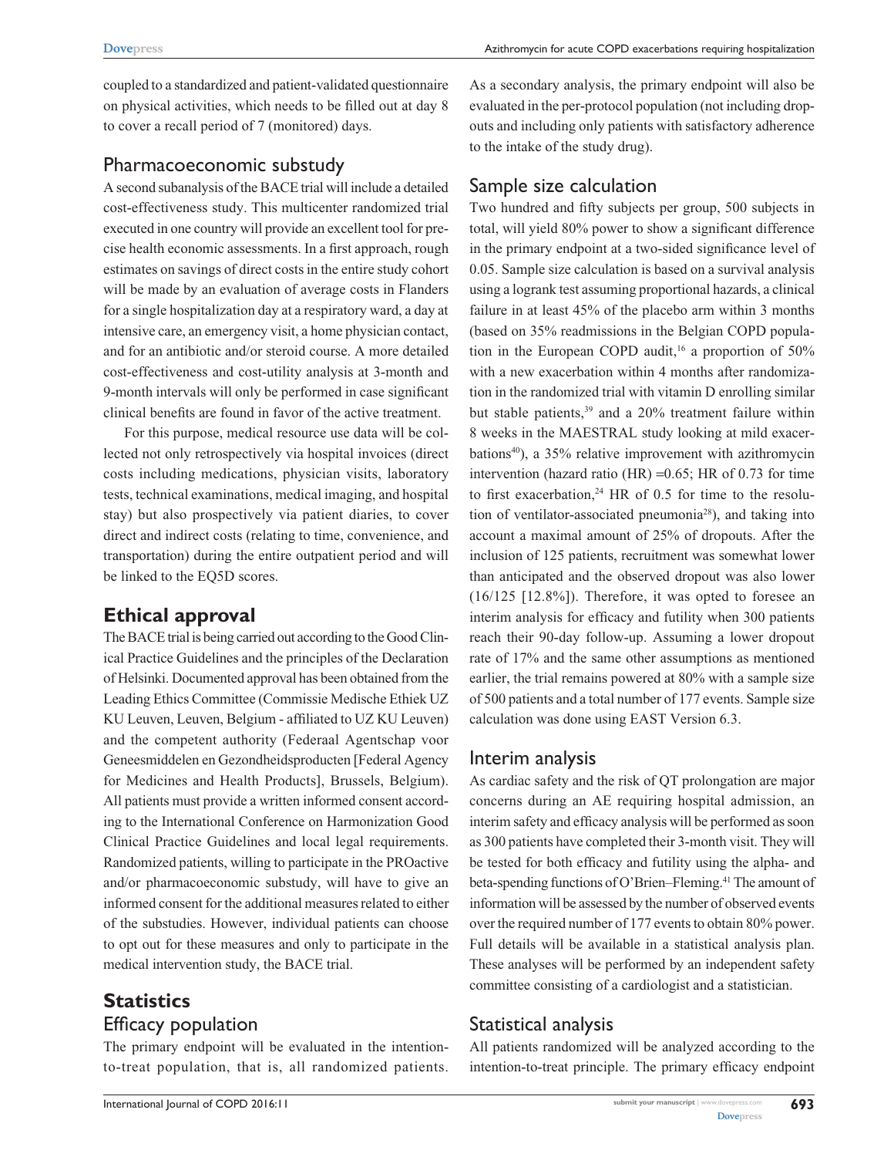coupled to a standardized and patient-validated questionnaire on physical activities, which needs to be filled out at day 8 to cover a recall period of 7 (monitored) days.

## Pharmacoeconomic substudy

A second subanalysis of the BACE trial will include a detailed cost-effectiveness study. This multicenter randomized trial executed in one country will provide an excellent tool for precise health economic assessments. In a first approach, rough estimates on savings of direct costs in the entire study cohort will be made by an evaluation of average costs in Flanders for a single hospitalization day at a respiratory ward, a day at intensive care, an emergency visit, a home physician contact, and for an antibiotic and/or steroid course. A more detailed cost-effectiveness and cost-utility analysis at 3-month and 9-month intervals will only be performed in case significant clinical benefits are found in favor of the active treatment.

For this purpose, medical resource use data will be collected not only retrospectively via hospital invoices (direct costs including medications, physician visits, laboratory tests, technical examinations, medical imaging, and hospital stay) but also prospectively via patient diaries, to cover direct and indirect costs (relating to time, convenience, and transportation) during the entire outpatient period and will be linked to the EQ5D scores.

# **Ethical approval**

The BACE trial is being carried out according to the Good Clinical Practice Guidelines and the principles of the Declaration of Helsinki. Documented approval has been obtained from the Leading Ethics Committee (Commissie Medische Ethiek UZ KU Leuven, Leuven, Belgium - affiliated to UZ KU Leuven) and the competent authority (Federaal Agentschap voor Geneesmiddelen en Gezondheidsproducten [Federal Agency for Medicines and Health Products], Brussels, Belgium). All patients must provide a written informed consent according to the International Conference on Harmonization Good Clinical Practice Guidelines and local legal requirements. Randomized patients, willing to participate in the PROactive and/or pharmacoeconomic substudy, will have to give an informed consent for the additional measures related to either of the substudies. However, individual patients can choose to opt out for these measures and only to participate in the medical intervention study, the BACE trial.

# **Statistics** Efficacy population

The primary endpoint will be evaluated in the intentionto-treat population, that is, all randomized patients. As a secondary analysis, the primary endpoint will also be evaluated in the per-protocol population (not including dropouts and including only patients with satisfactory adherence to the intake of the study drug).

# Sample size calculation

Two hundred and fifty subjects per group, 500 subjects in total, will yield 80% power to show a significant difference in the primary endpoint at a two-sided significance level of 0.05. Sample size calculation is based on a survival analysis using a logrank test assuming proportional hazards, a clinical failure in at least 45% of the placebo arm within 3 months (based on 35% readmissions in the Belgian COPD population in the European COPD audit,<sup>16</sup> a proportion of  $50\%$ with a new exacerbation within 4 months after randomization in the randomized trial with vitamin D enrolling similar but stable patients,<sup>39</sup> and a 20% treatment failure within 8 weeks in the MAESTRAL study looking at mild exacerbations<sup>40</sup>), a 35% relative improvement with azithromycin intervention (hazard ratio  $(HR) = 0.65$ ; HR of 0.73 for time to first exacerbation,<sup>24</sup> HR of 0.5 for time to the resolution of ventilator-associated pneumonia28), and taking into account a maximal amount of 25% of dropouts. After the inclusion of 125 patients, recruitment was somewhat lower than anticipated and the observed dropout was also lower  $(16/125)$  [12.8%]). Therefore, it was opted to foresee an interim analysis for efficacy and futility when 300 patients reach their 90-day follow-up. Assuming a lower dropout rate of 17% and the same other assumptions as mentioned earlier, the trial remains powered at 80% with a sample size of 500 patients and a total number of 177 events. Sample size calculation was done using EAST Version 6.3.

#### Interim analysis

As cardiac safety and the risk of QT prolongation are major concerns during an AE requiring hospital admission, an interim safety and efficacy analysis will be performed as soon as 300 patients have completed their 3-month visit. They will be tested for both efficacy and futility using the alpha- and beta-spending functions of O'Brien–Fleming.<sup>41</sup> The amount of information will be assessed by the number of observed events over the required number of 177 events to obtain 80% power. Full details will be available in a statistical analysis plan. These analyses will be performed by an independent safety committee consisting of a cardiologist and a statistician.

# Statistical analysis

All patients randomized will be analyzed according to the intention-to-treat principle. The primary efficacy endpoint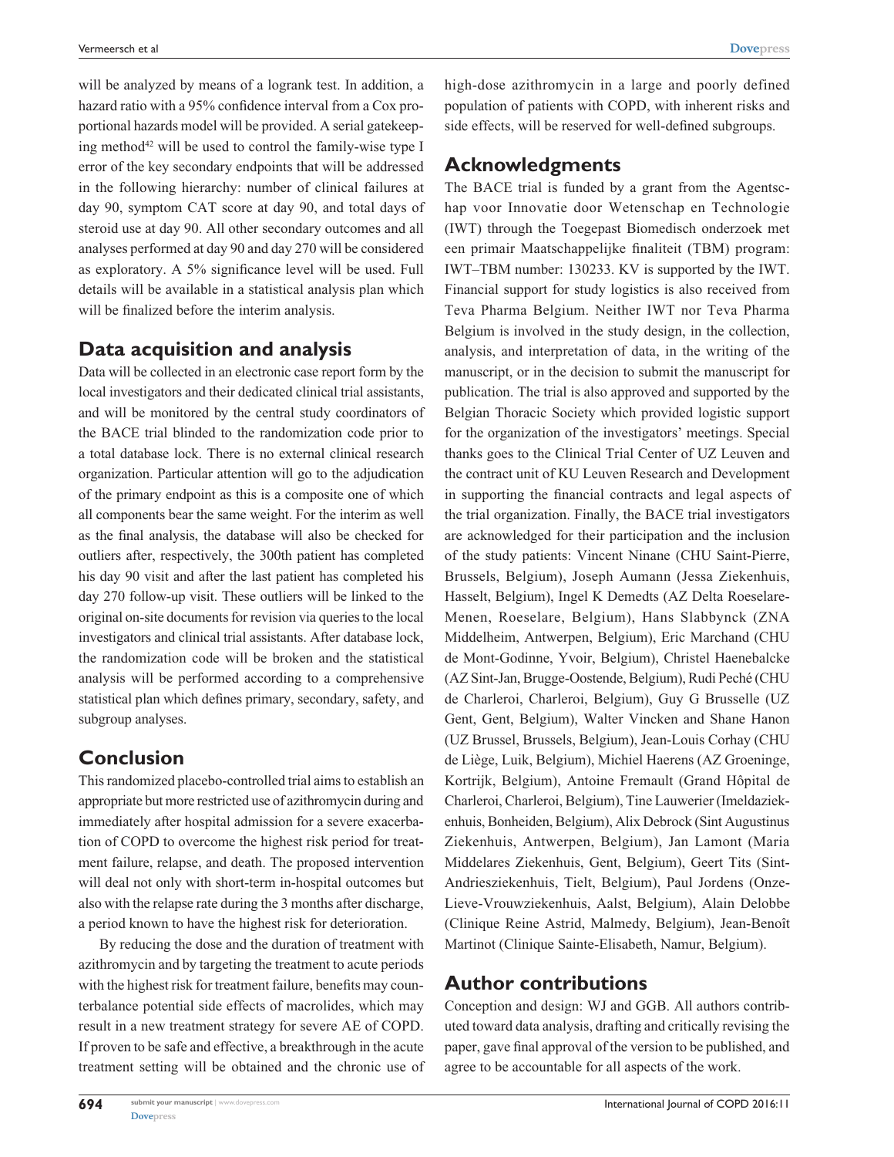will be analyzed by means of a logrank test. In addition, a hazard ratio with a 95% confidence interval from a Cox proportional hazards model will be provided. A serial gatekeeping method<sup>42</sup> will be used to control the family-wise type I error of the key secondary endpoints that will be addressed in the following hierarchy: number of clinical failures at day 90, symptom CAT score at day 90, and total days of steroid use at day 90. All other secondary outcomes and all analyses performed at day 90 and day 270 will be considered as exploratory. A 5% significance level will be used. Full details will be available in a statistical analysis plan which will be finalized before the interim analysis.

## **Data acquisition and analysis**

Data will be collected in an electronic case report form by the local investigators and their dedicated clinical trial assistants, and will be monitored by the central study coordinators of the BACE trial blinded to the randomization code prior to a total database lock. There is no external clinical research organization. Particular attention will go to the adjudication of the primary endpoint as this is a composite one of which all components bear the same weight. For the interim as well as the final analysis, the database will also be checked for outliers after, respectively, the 300th patient has completed his day 90 visit and after the last patient has completed his day 270 follow-up visit. These outliers will be linked to the original on-site documents for revision via queries to the local investigators and clinical trial assistants. After database lock, the randomization code will be broken and the statistical analysis will be performed according to a comprehensive statistical plan which defines primary, secondary, safety, and subgroup analyses.

## **Conclusion**

This randomized placebo-controlled trial aims to establish an appropriate but more restricted use of azithromycin during and immediately after hospital admission for a severe exacerbation of COPD to overcome the highest risk period for treatment failure, relapse, and death. The proposed intervention will deal not only with short-term in-hospital outcomes but also with the relapse rate during the 3 months after discharge, a period known to have the highest risk for deterioration.

By reducing the dose and the duration of treatment with azithromycin and by targeting the treatment to acute periods with the highest risk for treatment failure, benefits may counterbalance potential side effects of macrolides, which may result in a new treatment strategy for severe AE of COPD. If proven to be safe and effective, a breakthrough in the acute treatment setting will be obtained and the chronic use of high-dose azithromycin in a large and poorly defined population of patients with COPD, with inherent risks and side effects, will be reserved for well-defined subgroups.

### **Acknowledgments**

The BACE trial is funded by a grant from the Agentschap voor Innovatie door Wetenschap en Technologie (IWT) through the Toegepast Biomedisch onderzoek met een primair Maatschappelijke finaliteit (TBM) program: IWT–TBM number: 130233. KV is supported by the IWT. Financial support for study logistics is also received from Teva Pharma Belgium. Neither IWT nor Teva Pharma Belgium is involved in the study design, in the collection, analysis, and interpretation of data, in the writing of the manuscript, or in the decision to submit the manuscript for publication. The trial is also approved and supported by the Belgian Thoracic Society which provided logistic support for the organization of the investigators' meetings. Special thanks goes to the Clinical Trial Center of UZ Leuven and the contract unit of KU Leuven Research and Development in supporting the financial contracts and legal aspects of the trial organization. Finally, the BACE trial investigators are acknowledged for their participation and the inclusion of the study patients: Vincent Ninane (CHU Saint-Pierre, Brussels, Belgium), Joseph Aumann (Jessa Ziekenhuis, Hasselt, Belgium), Ingel K Demedts (AZ Delta Roeselare-Menen, Roeselare, Belgium), Hans Slabbynck (ZNA Middelheim, Antwerpen, Belgium), Eric Marchand (CHU de Mont-Godinne, Yvoir, Belgium), Christel Haenebalcke (AZ Sint-Jan, Brugge-Oostende, Belgium), Rudi Peché (CHU de Charleroi, Charleroi, Belgium), Guy G Brusselle (UZ Gent, Gent, Belgium), Walter Vincken and Shane Hanon (UZ Brussel, Brussels, Belgium), Jean-Louis Corhay (CHU de Liège, Luik, Belgium), Michiel Haerens (AZ Groeninge, Kortrijk, Belgium), Antoine Fremault (Grand Hôpital de Charleroi, Charleroi, Belgium), Tine Lauwerier (Imeldaziekenhuis, Bonheiden, Belgium), Alix Debrock (Sint Augustinus Ziekenhuis, Antwerpen, Belgium), Jan Lamont (Maria Middelares Ziekenhuis, Gent, Belgium), Geert Tits (Sint-Andriesziekenhuis, Tielt, Belgium), Paul Jordens (Onze-Lieve-Vrouwziekenhuis, Aalst, Belgium), Alain Delobbe (Clinique Reine Astrid, Malmedy, Belgium), Jean-Benoît Martinot (Clinique Sainte-Elisabeth, Namur, Belgium).

#### **Author contributions**

Conception and design: WJ and GGB. All authors contributed toward data analysis, drafting and critically revising the paper, gave final approval of the version to be published, and agree to be accountable for all aspects of the work.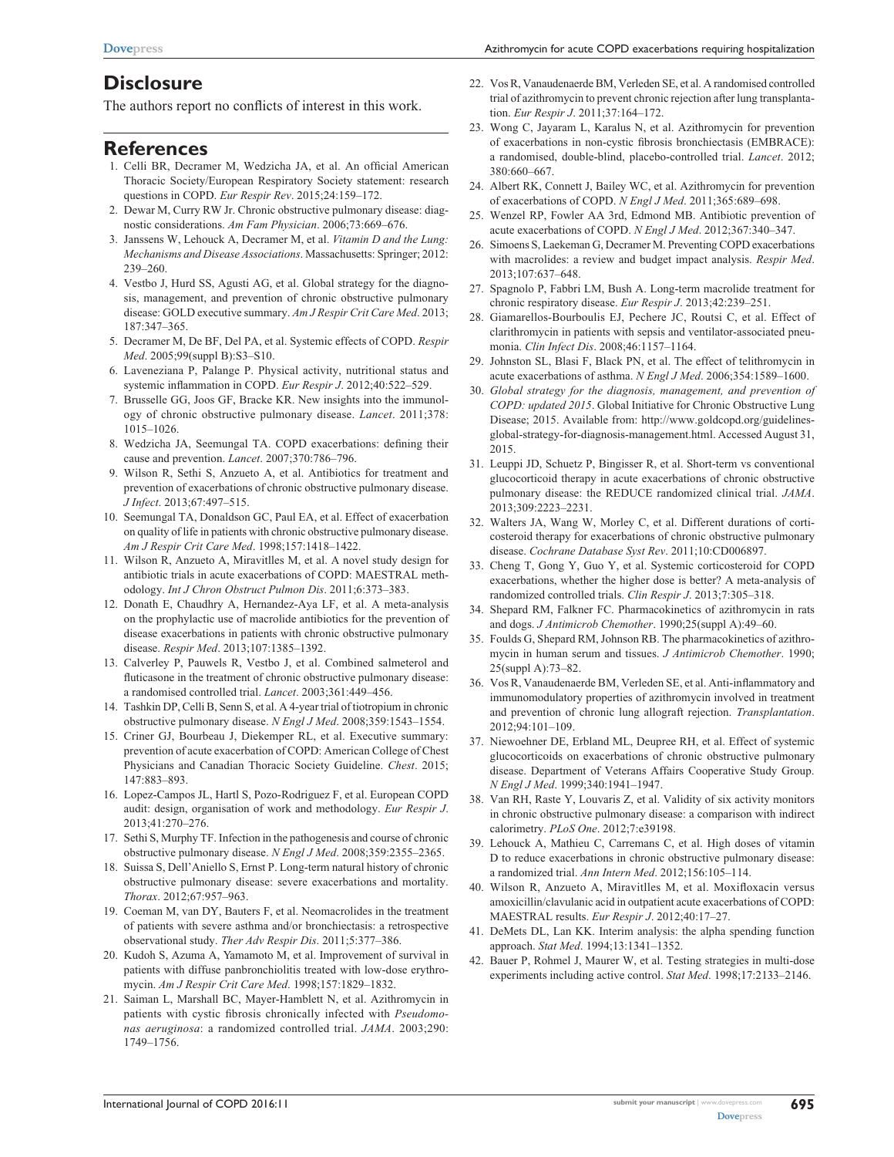# **Disclosure**

The authors report no conflicts of interest in this work.

#### **References**

- 1. Celli BR, Decramer M, Wedzicha JA, et al. An official American Thoracic Society/European Respiratory Society statement: research questions in COPD. *Eur Respir Rev*. 2015;24:159–172.
- 2. Dewar M, Curry RW Jr. Chronic obstructive pulmonary disease: diagnostic considerations. *Am Fam Physician*. 2006;73:669–676.
- 3. Janssens W, Lehouck A, Decramer M, et al. *Vitamin D and the Lung: Mechanisms and Disease Associations*. Massachusetts: Springer; 2012: 239–260.
- 4. Vestbo J, Hurd SS, Agusti AG, et al. Global strategy for the diagnosis, management, and prevention of chronic obstructive pulmonary disease: GOLD executive summary. *Am J Respir Crit Care Med*. 2013; 187:347–365.
- 5. Decramer M, De BF, Del PA, et al. Systemic effects of COPD. *Respir Med*. 2005;99(suppl B):S3–S10.
- 6. Laveneziana P, Palange P. Physical activity, nutritional status and systemic inflammation in COPD. *Eur Respir J*. 2012;40:522–529.
- 7. Brusselle GG, Joos GF, Bracke KR. New insights into the immunology of chronic obstructive pulmonary disease. *Lancet*. 2011;378: 1015–1026.
- 8. Wedzicha JA, Seemungal TA. COPD exacerbations: defining their cause and prevention. *Lancet*. 2007;370:786–796.
- 9. Wilson R, Sethi S, Anzueto A, et al. Antibiotics for treatment and prevention of exacerbations of chronic obstructive pulmonary disease. *J Infect*. 2013;67:497–515.
- 10. Seemungal TA, Donaldson GC, Paul EA, et al. Effect of exacerbation on quality of life in patients with chronic obstructive pulmonary disease. *Am J Respir Crit Care Med*. 1998;157:1418–1422.
- 11. Wilson R, Anzueto A, Miravitlles M, et al. A novel study design for antibiotic trials in acute exacerbations of COPD: MAESTRAL methodology. *Int J Chron Obstruct Pulmon Dis*. 2011;6:373–383.
- 12. Donath E, Chaudhry A, Hernandez-Aya LF, et al. A meta-analysis on the prophylactic use of macrolide antibiotics for the prevention of disease exacerbations in patients with chronic obstructive pulmonary disease. *Respir Med*. 2013;107:1385–1392.
- 13. Calverley P, Pauwels R, Vestbo J, et al. Combined salmeterol and fluticasone in the treatment of chronic obstructive pulmonary disease: a randomised controlled trial. *Lancet*. 2003;361:449–456.
- 14. Tashkin DP, Celli B, Senn S, et al. A 4-year trial of tiotropium in chronic obstructive pulmonary disease. *N Engl J Med*. 2008;359:1543–1554.
- 15. Criner GJ, Bourbeau J, Diekemper RL, et al. Executive summary: prevention of acute exacerbation of COPD: American College of Chest Physicians and Canadian Thoracic Society Guideline. *Chest*. 2015; 147:883–893.
- 16. Lopez-Campos JL, Hartl S, Pozo-Rodriguez F, et al. European COPD audit: design, organisation of work and methodology. *Eur Respir J*. 2013;41:270–276.
- 17. Sethi S, Murphy TF. Infection in the pathogenesis and course of chronic obstructive pulmonary disease. *N Engl J Med*. 2008;359:2355–2365.
- 18. Suissa S, Dell'Aniello S, Ernst P. Long-term natural history of chronic obstructive pulmonary disease: severe exacerbations and mortality. *Thorax*. 2012;67:957–963.
- 19. Coeman M, van DY, Bauters F, et al. Neomacrolides in the treatment of patients with severe asthma and/or bronchiectasis: a retrospective observational study. *Ther Adv Respir Dis*. 2011;5:377–386.
- 20. Kudoh S, Azuma A, Yamamoto M, et al. Improvement of survival in patients with diffuse panbronchiolitis treated with low-dose erythromycin. *Am J Respir Crit Care Med*. 1998;157:1829–1832.
- 21. Saiman L, Marshall BC, Mayer-Hamblett N, et al. Azithromycin in patients with cystic fibrosis chronically infected with *Pseudomonas aeruginosa*: a randomized controlled trial. *JAMA*. 2003;290: 1749–1756.
- 22. Vos R, Vanaudenaerde BM, Verleden SE, et al. A randomised controlled trial of azithromycin to prevent chronic rejection after lung transplantation. *Eur Respir J*. 2011;37:164–172.
- 23. Wong C, Jayaram L, Karalus N, et al. Azithromycin for prevention of exacerbations in non-cystic fibrosis bronchiectasis (EMBRACE): a randomised, double-blind, placebo-controlled trial. *Lancet*. 2012; 380:660–667.
- 24. Albert RK, Connett J, Bailey WC, et al. Azithromycin for prevention of exacerbations of COPD. *N Engl J Med*. 2011;365:689–698.
- 25. Wenzel RP, Fowler AA 3rd, Edmond MB. Antibiotic prevention of acute exacerbations of COPD. *N Engl J Med*. 2012;367:340–347.
- 26. Simoens S, Laekeman G, Decramer M. Preventing COPD exacerbations with macrolides: a review and budget impact analysis. *Respir Med*. 2013;107:637–648.
- 27. Spagnolo P, Fabbri LM, Bush A. Long-term macrolide treatment for chronic respiratory disease. *Eur Respir J*. 2013;42:239–251.
- 28. Giamarellos-Bourboulis EJ, Pechere JC, Routsi C, et al. Effect of clarithromycin in patients with sepsis and ventilator-associated pneumonia. *Clin Infect Dis*. 2008;46:1157–1164.
- 29. Johnston SL, Blasi F, Black PN, et al. The effect of telithromycin in acute exacerbations of asthma. *N Engl J Med*. 2006;354:1589–1600.
- 30. *Global strategy for the diagnosis, management, and prevention of COPD: updated 2015*. Global Initiative for Chronic Obstructive Lung Disease; 2015. Available from: [http://www.goldcopd.org/guidelines](http://www.goldcopd.org/guidelines-global-strategy-for-diagnosis-management.html)[global-strategy-for-diagnosis-management.html](http://www.goldcopd.org/guidelines-global-strategy-for-diagnosis-management.html). Accessed August 31, 2015.
- 31. Leuppi JD, Schuetz P, Bingisser R, et al. Short-term vs conventional glucocorticoid therapy in acute exacerbations of chronic obstructive pulmonary disease: the REDUCE randomized clinical trial. *JAMA*. 2013;309:2223–2231.
- 32. Walters JA, Wang W, Morley C, et al. Different durations of corticosteroid therapy for exacerbations of chronic obstructive pulmonary disease. *Cochrane Database Syst Rev*. 2011;10:CD006897.
- 33. Cheng T, Gong Y, Guo Y, et al. Systemic corticosteroid for COPD exacerbations, whether the higher dose is better? A meta-analysis of randomized controlled trials. *Clin Respir J*. 2013;7:305–318.
- 34. Shepard RM, Falkner FC. Pharmacokinetics of azithromycin in rats and dogs. *J Antimicrob Chemother*. 1990;25(suppl A):49–60.
- 35. Foulds G, Shepard RM, Johnson RB. The pharmacokinetics of azithromycin in human serum and tissues. *J Antimicrob Chemother*. 1990; 25(suppl A):73–82.
- 36. Vos R, Vanaudenaerde BM, Verleden SE, et al. Anti-inflammatory and immunomodulatory properties of azithromycin involved in treatment and prevention of chronic lung allograft rejection. *Transplantation*. 2012;94:101–109.
- 37. Niewoehner DE, Erbland ML, Deupree RH, et al. Effect of systemic glucocorticoids on exacerbations of chronic obstructive pulmonary disease. Department of Veterans Affairs Cooperative Study Group. *N Engl J Med*. 1999;340:1941–1947.
- 38. Van RH, Raste Y, Louvaris Z, et al. Validity of six activity monitors in chronic obstructive pulmonary disease: a comparison with indirect calorimetry. *PLoS One*. 2012;7:e39198.
- 39. Lehouck A, Mathieu C, Carremans C, et al. High doses of vitamin D to reduce exacerbations in chronic obstructive pulmonary disease: a randomized trial. *Ann Intern Med*. 2012;156:105–114.
- 40. Wilson R, Anzueto A, Miravitlles M, et al. Moxifloxacin versus amoxicillin/clavulanic acid in outpatient acute exacerbations of COPD: MAESTRAL results. *Eur Respir J*. 2012;40:17–27.
- 41. DeMets DL, Lan KK. Interim analysis: the alpha spending function approach. *Stat Med*. 1994;13:1341–1352.
- 42. Bauer P, Rohmel J, Maurer W, et al. Testing strategies in multi-dose experiments including active control. *Stat Med*. 1998;17:2133–2146.